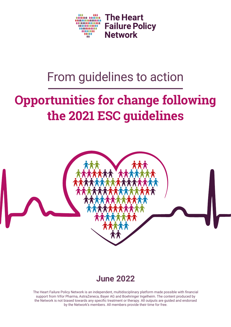

# From guidelines to action

# **Opportunities for change following the 2021 ESC guidelines**



## **June 2022**

The Heart Failure Policy Network is an independent, multidisciplinary platform made possible with financial support from Vifor Pharma, AstraZeneca, Bayer AG and Boehringer Ingelheim. The content produced by the Network is not biased towards any specific treatment or therapy. All outputs are guided and endorsed by the Network's members. All members provide their time for free.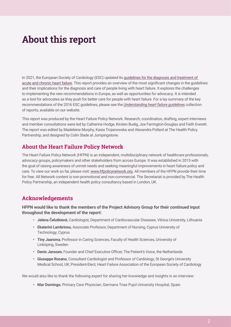## **About this report**

In 2021, the European Society of Cardiology (ESC) updated its [guidelines for the diagnosis and treatment of](https://academic.oup.com/eurheartj/article/42/36/3599/6358045)  [acute and chronic heart failure](https://academic.oup.com/eurheartj/article/42/36/3599/6358045). This report provides an overview of the most significant changes in the guidelines and their implications for the diagnosis and care of people living with heart failure. It explores the challenges to implementing the new recommendations in Europe, as well as opportunities for advocacy. It is intended as a tool for advocates as they push for better care for people with heart failure. For a lay summary of the key recommendations of the 2016 ESC guidelines, please see the *[Understanding heart failure guidelines](https://www.hfpolicynetwork.org/project/understanding-heart-failure-guidelines/)* collection of reports, available on our website.

This report was produced by the Heart Failure Policy Network. Research, coordination, drafting, expert interviews and member consultations were led by Catherine Hodge, Kirsten Budig, Joe Farrington-Douglas and Faith Everett. The report was edited by Madeleine Murphy, Kasia Trojanowska and Alexandra Pollard at The Health Policy Partnership, and designed by Colin Slade at Jumpingstone.

### **About the Heart Failure Policy Network**

The Heart Failure Policy Network (HFPN) is an independent, multidisciplinary network of healthcare professionals, advocacy groups, policymakers and other stakeholders from across Europe. It was established in 2015 with the goal of raising awareness of unmet needs and seeking meaningful improvements in heart failure policy and care. To view our work so far, please visit: [www.hfpolicynetwork.org](http://www.hfpolicynetwork.org). All members of the HFPN provide their time for free. All Network content is non-promotional and non-commercial. The Secretariat is provided by The Health Policy Partnership, an independent health policy consultancy based in London, UK.

## **Acknowledgements**

**HFPN would like to thank the members of the Project Advisory Group for their continued input throughout the development of the report:**

- **• Jelena Čelutkienė**, Cardiologist, Department of Cardiovascular Diseases, Vilnius University, Lithuania
- **• Ekaterini Lambrinou**, Associate Professor, Department of Nursing, Cyprus University of Technology, Cyprus
- **• Tiny Jaarsma**, Professor in Caring Sciences, Faculty of Health Sciences, University of Linköping, Sweden
- **• Denis Janssen**, Founder and Chief Executive Officer, The Patient's Voice, the Netherlands
- **• Giuseppe Rosano**, Consultant Cardiologist and Professor of Cardiology, St George's University Medical School, UK; President-Elect, Heart Failure Association of the European Society of Cardiology

We would also like to thank the following expert for sharing her knowledge and insights in an interview:

**• Mar Domingo**, Primary Care Physician, Germans Trias Pujol University Hospital, Spain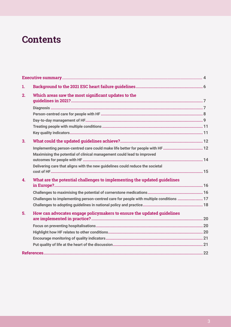## **Contents**

| 1.           |                                                                                                                                                          |  |
|--------------|----------------------------------------------------------------------------------------------------------------------------------------------------------|--|
| 2.           | Which areas saw the most significant updates to the                                                                                                      |  |
|              |                                                                                                                                                          |  |
|              |                                                                                                                                                          |  |
|              |                                                                                                                                                          |  |
|              |                                                                                                                                                          |  |
|              |                                                                                                                                                          |  |
| 3.           |                                                                                                                                                          |  |
|              | Implementing person-centred care could make life better for people with HF  12<br>Maximising the potential of clinical management could lead to improved |  |
|              |                                                                                                                                                          |  |
|              | Delivering care that aligns with the new guidelines could reduce the societal                                                                            |  |
| $\mathbf{4}$ | What are the potential challenges to implementing the updated guidelines                                                                                 |  |
|              |                                                                                                                                                          |  |
|              | Challenges to implementing person-centred care for people with multiple conditions  17                                                                   |  |
|              |                                                                                                                                                          |  |
| 5.           | How can advocates engage policymakers to ensure the updated guidelines                                                                                   |  |
|              |                                                                                                                                                          |  |
|              |                                                                                                                                                          |  |
|              |                                                                                                                                                          |  |
|              |                                                                                                                                                          |  |
|              |                                                                                                                                                          |  |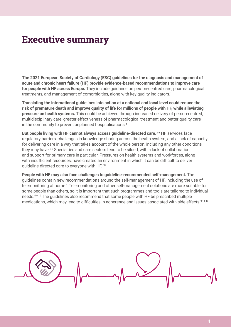## <span id="page-3-0"></span>**Executive summary**

**The 2021 European Society of Cardiology (ESC) guidelines for the diagnosis and management of acute and chronic heart failure (HF) provide evidence-based recommendations to improve care for people with HF across Europe.** They include guidance on person-centred care, pharmacological treatments, and management of comorbidities, along with key quality indicators.<sup>1</sup>

**Translating the international guidelines into action at a national and local level could reduce the risk of premature death and improve quality of life for millions of people with HF, while alleviating pressure on health systems.** This could be achieved through increased delivery of person-centred, multidisciplinary care, greater effectiveness of pharmacological treatment and better quality care in the community to prevent unplanned hospitalisations.<sup>1</sup>

But people living with HF cannot always access guideline-directed care.<sup>2-4</sup> HF services face regulatory barriers, challenges in knowledge sharing across the health system, and a lack of capacity for delivering care in a way that takes account of the whole person, including any other conditions they may have.<sup>56</sup> Specialties and care sectors tend to be siloed, with a lack of collaboration and support for primary care in particular. Pressures on health systems and workforces, along with insufficient resources, have created an environment in which it can be difficult to deliver guideline-directed care to everyone with HF.<sup>78</sup>

**People with HF may also face challenges to guideline-recommended self-management.** The guidelines contain new recommendations around the self-management of HF, including the use of telemonitoring at home.<sup>1</sup> Telemonitoring and other self-management solutions are more suitable for some people than others, so it is important that such programmes and tools are tailored to individual needs.<sup>5910</sup> The guidelines also recommend that some people with HF be prescribed multiple medications, which may lead to difficulties in adherence and issues associated with side effects.<sup>91112</sup>

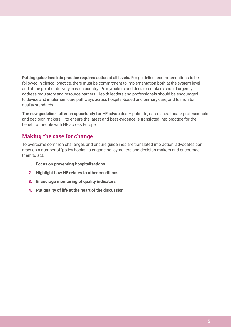**Putting guidelines into practice requires action at all levels.** For guideline recommendations to be followed in clinical practice, there must be commitment to implementation both at the system level and at the point of delivery in each country. Policymakers and decision-makers should urgently address regulatory and resource barriers. Health leaders and professionals should be encouraged to devise and implement care pathways across hospital-based and primary care, and to monitor quality standards.

**The new guidelines offer an opportunity for HF advocates** – patients, carers, healthcare professionals and decision-makers – to ensure the latest and best evidence is translated into practice for the benefit of people with HF across Europe.

## **Making the case for change**

To overcome common challenges and ensure guidelines are translated into action, advocates can draw on a number of 'policy hooks' to engage policymakers and decision-makers and encourage them to act.

- **1. Focus on preventing hospitalisations**
- **2. Highlight how HF relates to other conditions**
- **3. Encourage monitoring of quality indicators**
- **4. Put quality of life at the heart of the discussion**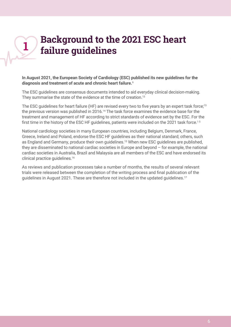## <span id="page-5-0"></span>**Background to the 2021 ESC heart failure guidelines 1**

**In August 2021, the European Society of Cardiology (ESC) published its new guidelines for the**  diagnosis and treatment of acute and chronic heart failure.<sup>1</sup>

The ESC guidelines are consensus documents intended to aid everyday clinical decision-making. They summarise the state of the evidence at the time of creation.<sup>13</sup>

The ESC quidelines for heart failure (HF) are revised every two to five years by an expert task force;<sup>13</sup> the previous version was published in 2016.<sup>14</sup> The task force examines the evidence base for the treatment and management of HF according to strict standards of evidence set by the ESC. For the first time in the history of the ESC HF guidelines, patients were included on the 2021 task force.<sup>15</sup>

National cardiology societies in many European countries, including Belgium, Denmark, France, Greece, Ireland and Poland, endorse the ESC HF guidelines as their national standard; others, such as England and Germany, produce their own quidelines.<sup>15</sup> When new ESC quidelines are published, they are disseminated to national cardiac societies in Europe and beyond – for example, the national cardiac societies in Australia, Brazil and Malaysia are all members of the ESC and have endorsed its clinical practice guidelines.<sup>16</sup>

As reviews and publication processes take a number of months, the results of several relevant trials were released between the completion of the writing process and final publication of the guidelines in August 2021. These are therefore not included in the updated guidelines.<sup>17</sup>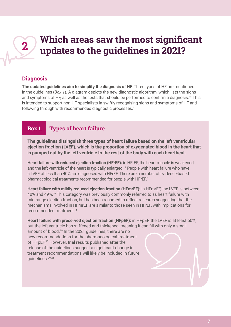## <span id="page-6-0"></span>**Which areas saw the most significant updates to the guidelines in 2021? 2**

### **Diagnosis**

**The updated guidelines aim to simplify the diagnosis of HF.** Three types of HF are mentioned in the guidelines (*Box 1*). A diagram depicts the new diagnostic algorithm, which lists the signs and symptoms of HF, as well as the tests that should be performed to confirm a diagnosis.<sup>18</sup> This is intended to support non-HF-specialists in swiftly recognising signs and symptoms of HF and following through with recommended diagnostic processes.<sup>1</sup>

## **Box 1. Types of heart failure**

**The guidelines distinguish three types of heart failure based on the left ventricular ejection fraction (LVEF), which is the proportion of oxygenated blood in the heart that is pumped out by the left ventricle to the rest of the body with each heartbeat.**

**Heart failure with reduced ejection fraction (HFrEF):** in HFrEF, the heart muscle is weakened, and the left ventricle of the heart is typically enlarged.<sup>19</sup> People with heart failure who have a LVEF of less than 40% are diagnosed with HFrEF. There are a number of evidence-based pharmacological treatments recommended for people with HFrEF.<sup>1</sup>

**Heart failure with mildly reduced ejection fraction (HFmrEF):** in HFmrEF, the LVEF is between 40% and 49%.19 This category was previously commonly referred to as heart failure with mid-range ejection fraction, but has been renamed to reflect research suggesting that the mechanisms involved in HFmrEF are similar to those seen in HFrEF, with implications for recommended treatment 1

**Heart failure with preserved ejection fraction (HFpEF):** in HFpEF, the LVEF is at least 50%, but the left ventricle has stiffened and thickened, meaning it can fill with only a small amount of blood.<sup>19</sup> In the 2021 guidelines, there are no new recommendations for the pharmacological treatment of HFpEF.17 However, trial results published after the release of the guidelines suggest a significant change in treatment recommendations will likely be included in future guidelines.20 21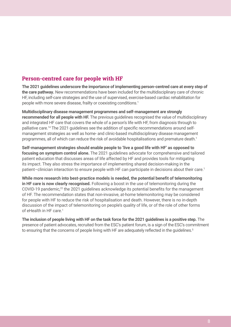## <span id="page-7-0"></span>**Person-centred care for people with HF**

**The 2021 guidelines underscore the importance of implementing person-centred care at every step of the care pathway.** New recommendations have been included for the multidisciplinary care of chronic HF, including self-care strategies and the use of supervised, exercise-based cardiac rehabilitation for people with more severe disease, frailty or coexisting conditions.<sup>1</sup>

**Multidisciplinary disease management programmes and self-management are strongly recommended for all people with HF.** The previous guidelines recognised the value of multidisciplinary and integrated HF care that covers the whole of a person's life with HF, from diagnosis through to palliative care.14 The 2021 guidelines see the addition of specific recommendations around selfmanagement strategies as well as home- and clinic-based multidisciplinary disease management programmes, all of which can reduce the risk of avoidable hospitalisations and premature death.<sup>1</sup>

**Self-management strategies should enable people to 'live a good life with HF' as opposed to focusing on symptom control alone.** The 2021 guidelines advocate for comprehensive and tailored patient education that discusses areas of life affected by HF and provides tools for mitigating its impact. They also stress the importance of implementing shared decision-making in the patient–clinician interaction to ensure people with HF can participate in decisions about their care.<sup>1</sup>

**While more research into best-practice models is needed, the potential benefit of telemonitoring in HF care is now clearly recognised.** Following a boost in the use of telemonitoring during the COVID-19 pandemic,<sup>22</sup> the 2021 guidelines acknowledge its potential benefits for the management of HF. The recommendation states that non-invasive, at-home telemonitoring may be considered for people with HF to reduce the risk of hospitalisation and death. However, there is no in-depth discussion of the impact of telemonitoring on people's quality of life, or of the role of other forms of eHealth in HF care.<sup>1</sup>

**The inclusion of people living with HF on the task force for the 2021 guidelines is a positive step.** The presence of patient advocates, recruited from the ESC's patient forum, is a sign of the ESC's commitment to ensuring that the concerns of people living with HF are adequately reflected in the quidelines.<sup>5</sup>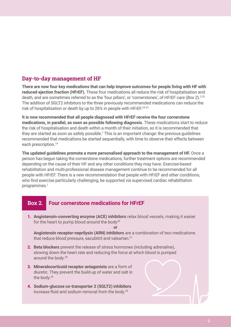### <span id="page-8-0"></span>**Day-to-day management of HF**

**There are now four key medications that can help improve outcomes for people living with HF with reduced ejection fraction (HFrEF).** These four medications all reduce the risk of hospitalisation and death, and are sometimes referred to as the 'four pillars', or 'cornerstones', of HFrEF care (*Box 2*).<sup>223</sup> The addition of SGLT2 inhibitors to the three previously recommended medications can reduce the risk of hospitalisation or death by up to 26% in people with HFrEF.<sup>2425</sup>

**It is now recommended that all people diagnosed with HFrEF receive the four cornerstone medications, in parallel, as soon as possible following diagnosis.** These medications start to reduce the risk of hospitalisation and death within a month of their initiation, so it is recommended that they are started as soon as safely possible.<sup>1</sup> This is an important change: the previous guidelines recommended that medications be started sequentially, with time to observe their effects between each prescription.<sup>14</sup>

**The updated guidelines promote a more personalised approach to the management of HF.** Once a person has begun taking the cornerstone medications, further treatment options are recommended depending on the cause of their HF and any other conditions they may have. Exercise-based rehabilitation and multi-professional disease management continue to be recommended for all people with HFrEF. There is a new recommendation that people with HFrEF and other conditions, who find exercise particularly challenging, be supported via supervised cardiac rehabilitation programmes.1

### **Box 2. Four cornerstone medications for HFrEF**

**1. Angiotensin-converting enzyme (ACE) inhibitors** relax blood vessels, making it easier for the heart to pump blood around the body<sup>26</sup>

**or**

**Angiotensin receptor-neprilysin (ARN) inhibitors** are a combination of two medications that reduce blood pressure, sacubitril and valsartan.<sup>27</sup>

- **2. Beta blockers** prevent the release of stress hormones (including adrenaline), slowing down the heart rate and reducing the force at which blood is pumped around the body.28
- **3. Mineralocorticoid receptor antagonists** are a form of diuretic. They prevent the build-up of water and salt in the body.<sup>26</sup>
- **4. Sodium-glucose co-transporter 2 (SGLT2) inhibitors** increase fluid and sodium removal from the body.29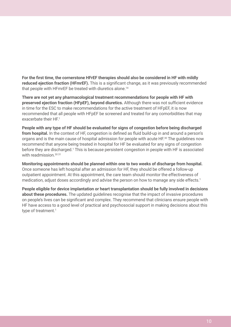**For the first time, the cornerstone HFrEF therapies should also be considered in HF with mildly reduced ejection fraction (HFmrEF).** This is a significant change, as it was previously recommended that people with HFmrEF be treated with diuretics alone.<sup>14</sup>

**There are not yet any pharmacological treatment recommendations for people with HF with preserved ejection fraction (HFpEF), beyond diuretics.** Although there was not sufficient evidence in time for the ESC to make recommendations for the active treatment of HFpEF, it is now recommended that all people with HFpEF be screened and treated for any comorbidities that may exacerbate their HF.<sup>1</sup>

**People with any type of HF should be evaluated for signs of congestion before being discharged from hospital.** In the context of HF, congestion is defined as fluid build-up in and around a person's organs and is the main cause of hospital admission for people with acute HF.30 The guidelines now recommend that anyone being treated in hospital for HF be evaluated for any signs of congestion before they are discharged.<sup>1</sup> This is because persistent congestion in people with HF is associated with readmission.<sup>3031</sup>

**Monitoring appointments should be planned within one to two weeks of discharge from hospital.** Once someone has left hospital after an admission for HF, they should be offered a follow-up outpatient appointment. At this appointment, the care team should monitor the effectiveness of medication, adjust doses accordingly and advise the person on how to manage any side effects.<sup>1</sup>

**People eligible for device implantation or heart transplantation should be fully involved in decisions about these procedures.** The updated guidelines recognise that the impact of invasive procedures on people's lives can be significant and complex. They recommend that clinicians ensure people with HF have access to a good level of practical and psychosocial support in making decisions about this type of treatment.<sup>1</sup>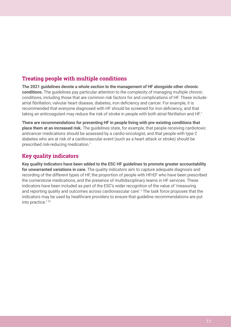## <span id="page-10-0"></span>**Treating people with multiple conditions**

**The 2021 guidelines devote a whole section to the management of HF alongside other chronic conditions.** The guidelines pay particular attention to the complexity of managing multiple chronic conditions, including those that are common risk factors for and complications of HF. These include: atrial fibrillation, valvular heart disease, diabetes, iron deficiency and cancer. For example, it is recommended that everyone diagnosed with HF should be screened for iron deficiency, and that taking an anticoagulant may reduce the risk of stroke in people with both atrial fibrillation and HF.<sup>1</sup>

**There are recommendations for preventing HF in people living with pre-existing conditions that place them at an increased risk.** The guidelines state, for example, that people receiving cardiotoxic anticancer medications should be assessed by a cardio-oncologist, and that people with type 2 diabetes who are at risk of a cardiovascular event (such as a heart attack or stroke) should be prescribed risk-reducing medication.1

## **Key quality indicators**

**Key quality indicators have been added to the ESC HF guidelines to promote greater accountability for unwarranted variations in care.** The quality indicators aim to capture adequate diagnosis and recording of the different types of HF, the proportion of people with HFrEF who have been prescribed the cornerstone medications, and the presence of multidisciplinary teams in HF services. These indicators have been included as part of the ESC's wider recognition of the value of 'measuring and reporting quality and outcomes across cardiovascular care'.<sup>1</sup> The task force proposes that the indicators may be used by healthcare providers to ensure that guideline recommendations are put into practice. $132$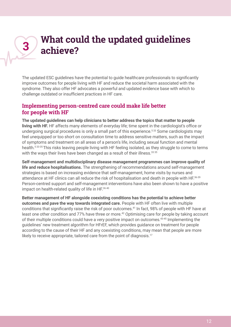## <span id="page-11-0"></span>**What could the updated guidelines achieve? 3**

The updated ESC guidelines have the potential to guide healthcare professionals to significantly improve outcomes for people living with HF and reduce the societal harm associated with the syndrome. They also offer HF advocates a powerful and updated evidence base with which to challenge outdated or insufficient practices in HF care.

### **Implementing person-centred care could make life better for people with HF**

**The updated guidelines can help clinicians to better address the topics that matter to people living with HF.** HF affects many elements of everyday life; time spent in the cardiologist's office or undergoing surgical procedures is only a small part of this experience.<sup>533</sup> Some cardiologists may feel unequipped or too short on consultation time to address sensitive matters, such as the impact of symptoms and treatment on all areas of a person's life, including sexual function and mental health.<sup>533-35</sup> This risks leaving people living with HF feeling isolated, as they struggle to come to terms with the ways their lives have been changed as a result of their illness.<sup>33 35</sup>

**Self-management and multidisciplinary disease management programmes can improve quality of life and reduce hospitalisations.** The strengthening of recommendations around self-management strategies is based on increasing evidence that self-management, home visits by nurses and attendance at HF clinics can all reduce the risk of hospitalisation and death in people with HF.<sup>36-39</sup> Person-centred support and self-management interventions have also been shown to have a positive impact on health-related quality of life in HF.<sup>36 40</sup>

**Better management of HF alongside coexisting conditions has the potential to achieve better outcomes and pave the way towards integrated care.** People with HF often live with multiple conditions that significantly raise the risk of poor outcomes.<sup>41</sup> In fact, 98% of people with HF have at least one other condition and 77% have three or more.<sup>42</sup> Optimising care for people by taking account of their multiple conditions could have a very positive impact on outcomes.<sup>43-45</sup> Implementing the guidelines' new treatment algorithm for HFrEF, which provides guidance on treatment for people according to the cause of their HF and any coexisting conditions, may mean that people are more likely to receive appropriate, tailored care from the point of diagnosis.<sup>17</sup>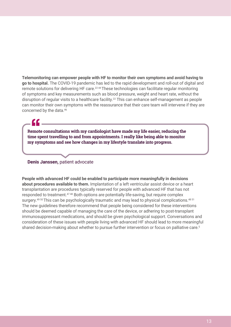**Telemonitoring can empower people with HF to monitor their own symptoms and avoid having to go to hospital.** The COVID-19 pandemic has led to the rapid development and roll-out of digital and remote solutions for delivering HF care.<sup>22,44</sup> These technologies can facilitate regular monitoring of symptoms and key measurements such as blood pressure, weight and heart rate, without the disruption of regular visits to a healthcare facility.<sup>22</sup> This can enhance self-management as people can monitor their own symptoms with the reassurance that their care team will intervene if they are concerned by the data.<sup>46</sup>

**Remote consultations with my cardiologist have made my life easier, reducing the time spent travelling to and from appointments. I really like being able to monitor my symptoms and see how changes in my lifestyle translate into progress.**

#### **Denis Janssen,** patient advocate

**People with advanced HF could be enabled to participate more meaningfully in decisions about procedures available to them.** Implantation of a left ventricular assist device or a heart transplantation are procedures typically reserved for people with advanced HF that has not responded to treatment.47 48 Both options are potentially life-saving, but require complex surgery.<sup>49 50</sup> This can be psychologically traumatic and may lead to physical complications.<sup>48 51</sup> The new guidelines therefore recommend that people being considered for these interventions should be deemed capable of managing the care of the device, or adhering to post-transplant immunosuppressant medications, and should be given psychological support. Conversations and consideration of these issues with people living with advanced HF should lead to more meaningful shared decision-making about whether to pursue further intervention or focus on palliative care.<sup>5</sup>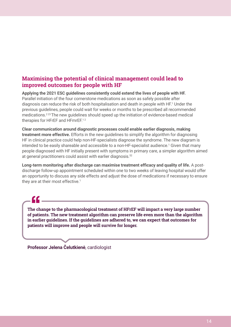### <span id="page-13-0"></span>**Maximising the potential of clinical management could lead to improved outcomes for people with HF**

**Applying the 2021 ESC guidelines consistently could extend the lives of people with HF.** Parallel initiation of the four cornerstone medications as soon as safely possible after diagnosis can reduce the risk of both hospitalisation and death in people with HF.<sup>1</sup> Under the previous guidelines, people could wait for weeks or months to be prescribed all recommended medications.2 23 The new guidelines should speed up the initiation of evidence-based medical therapies for HFrEF and HFmrEF.<sup>12</sup>

**Clear communication around diagnostic processes could enable earlier diagnosis, making treatment more effective.** Efforts in the new guidelines to simplify the algorithm for diagnosing HF in clinical practice could help non-HF-specialists diagnose the syndrome. The new diagram is intended to be easily shareable and accessible to a non-HF-specialist audience.1 Given that many people diagnosed with HF initially present with symptoms in primary care, a simpler algorithm aimed at general practitioners could assist with earlier diagnosis.<sup>52</sup>

**Long-term monitoring after discharge can maximise treatment efficacy and quality of life.** A postdischarge follow-up appointment scheduled within one to two weeks of leaving hospital would offer an opportunity to discuss any side effects and adjust the dose of medications if necessary to ensure they are at their most effective.<sup>1</sup>

**The change to the pharmacological treatment of HFrEF will impact a very large number of patients. The new treatment algorithm can preserve life even more than the algorithm in earlier guidelines. If the guidelines are adhered to, we can expect that outcomes for patients will improve and people will survive for longer.**

**Professor Jelena Čelutkienė**, cardiologist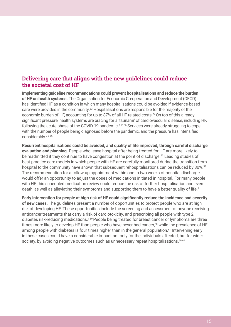### <span id="page-14-0"></span>**Delivering care that aligns with the new guidelines could reduce the societal cost of HF**

**Implementing guideline recommendations could prevent hospitalisations and reduce the burden of HF on health systems.** The Organisation for Economic Co-operation and Development (OECD) has identified HF as a condition in which many hospitalisations could be avoided if evidence-based care were provided in the community.53 Hospitalisations are responsible for the majority of the economic burden of HF, accounting for up to 87% of all HF-related costs.<sup>54</sup> On top of this already significant pressure, health systems are bracing for a 'tsunami' of cardiovascular disease, including HF, following the acute phase of the COVID-19 pandemic.<sup>8 55 56</sup> Services were already struggling to cope with the number of people being diagnosed before the pandemic, and the pressure has intensified considerably.7 8 56

**Recurrent hospitalisations could be avoided, and quality of life improved, through careful discharge evaluation and planning.** People who leave hospital after being treated for HF are more likely to be readmitted if they continue to have congestion at the point of discharge.<sup>57</sup> Leading studies of best-practice care models in which people with HF are carefully monitored during the transition from hospital to the community have shown that subsequent rehospitalisations can be reduced by 30%.<sup>58</sup> The recommendation for a follow-up appointment within one to two weeks of hospital discharge would offer an opportunity to adjust the doses of medications initiated in hospital. For many people with HF, this scheduled medication review could reduce the risk of further hospitalisation and even death, as well as alleviating their symptoms and supporting them to have a better quality of life.<sup>1</sup>

**Early intervention for people at high risk of HF could significantly reduce the incidence and severity of new cases.** The guidelines present a number of opportunities to protect people who are at high risk of developing HF. These opportunities include the screening and assessment of anyone receiving anticancer treatments that carry a risk of cardiotoxicity, and prescribing all people with type 2 diabetes risk-reducing medications.1 59 People being treated for breast cancer or lymphoma are three times more likely to develop HF than people who have never had cancer,<sup>60</sup> while the prevalence of HF among people with diabetes is four times higher than in the general population.<sup>61</sup> Intervening early in these cases could have a considerable impact not only for the individuals affected, but for wider society, by avoiding negative outcomes such as unnecessary repeat hospitalisations.<sup>59 61</sup>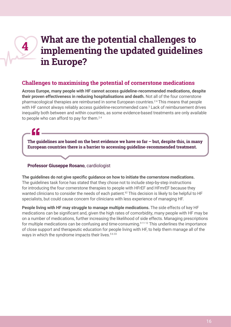## **What are the potential challenges to implementing the updated guidelines in Europe?**

### **Challenges to maximising the potential of cornerstone medications**

**Across Europe, many people with HF cannot access guideline-recommended medications, despite their proven effectiveness in reducing hospitalisations and death.** Not all of the four cornerstone pharmacological therapies are reimbursed in some European countries.<sup>24</sup> This means that people with HF cannot always reliably access guideline-recommended care.<sup>3</sup> Lack of reimbursement drives inequality both between and within countries, as some evidence-based treatments are only available to people who can afford to pay for them.<sup>24</sup>

**The guidelines are based on the best evidence we have so far – but, despite this, in many European countries there is a barrier to accessing guideline-recommended treatment.**

#### **Professor Giuseppe Rosano**, cardiologist

<span id="page-15-0"></span>**4**

**The guidelines do not give specific guidance on how to initiate the cornerstone medications.**  The guidelines task force has stated that they chose not to include step-by-step instructions for introducing the four cornerstone therapies to people with HFrEF and HFmrEF because they wanted clinicians to consider the needs of each patient.<sup>62</sup> This decision is likely to be helpful to HF specialists, but could cause concern for clinicians with less experience of managing HF.

**People living with HF may struggle to manage multiple medications.** The side effects of key HF medications can be significant and, given the high rates of comorbidity, many people with HF may be on a number of medications, further increasing the likelihood of side effects. Managing prescriptions for multiple medications can be confusing and time-consuming.9 11 12 This underlines the importance of close support and therapeutic education for people living with HF, to help them manage all of the ways in which the syndrome impacts their lives.<sup>5633</sup>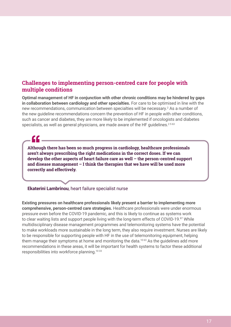### <span id="page-16-0"></span>**Challenges to implementing person-centred care for people with multiple conditions**

**Optimal management of HF in conjunction with other chronic conditions may be hindered by gaps in collaboration between cardiology and other specialties.** For care to be optimised in line with the new recommendations, communication between specialties will be necessary.<sup>2</sup> As a number of the new guideline recommendations concern the prevention of HF in people with other conditions, such as cancer and diabetes, they are more likely to be implemented if oncologists and diabetes specialists, as well as general physicians, are made aware of the HF guidelines.<sup>2563</sup>

**Although there has been so much progress in cardiology, healthcare professionals aren't always prescribing the right medications in the correct doses. If we can develop the other aspects of heart failure care as well – the person-centred support and disease management – I think the therapies that we have will be used more correctly and effectively.**

#### **Ekaterini Lambrinou**, heart failure specialist nurse

**Existing pressures on healthcare professionals likely present a barrier to implementing more comprehensive, person-centred care strategies.** Healthcare professionals were under enormous pressure even before the COVID-19 pandemic, and this is likely to continue as systems work to clear waiting lists and support people living with the long-term effects of COVID-19.87 While multidisciplinary disease management programmes and telemonitoring systems have the potential to make workloads more sustainable in the long term, they also require investment. Nurses are likely to be responsible for supporting people with HF in the use of telemonitoring equipment, helping them manage their symptoms at home and monitoring the data.<sup>1063</sup> As the guidelines add more recommendations in these areas, it will be important for health systems to factor these additional responsibilities into workforce planning.10 33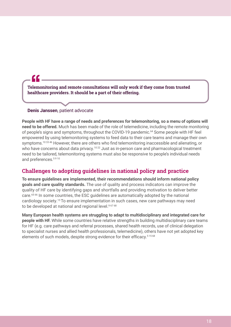**Telemonitoring and remote consultations will only work if they come from trusted healthcare providers. It should be a part of their offering.** 

#### **Denis Janssen**, patient advocate

<span id="page-17-0"></span><u>CC</u>

**People with HF have a range of needs and preferences for telemonitoring, so a menu of options will need to be offered.** Much has been made of the role of telemedicine, including the remote monitoring of people's signs and symptoms, throughout the COVID-19 pandemic.<sup>64</sup> Some people with HF feel empowered by using telemonitoring systems to feed data to their care teams and manage their own symptoms.<sup>10 33 46</sup> However, there are others who find telemonitoring inaccessible and alienating, or who have concerns about data privacy.<sup>10 22</sup> Just as in-person care and pharmacological treatment need to be tailored, telemonitoring systems must also be responsive to people's individual needs and preferences.<sup>5910</sup>

## **Challenges to adopting guidelines in national policy and practice**

**To ensure guidelines are implemented, their recommendations should inform national policy goals and care quality standards.** The use of quality and process indicators can improve the quality of HF care by identifying gaps and shortfalls and providing motivation to deliver better care.65 66 In some countries, the ESC guidelines are automatically adopted by the national cardiology society.<sup>15</sup>To ensure implementation in such cases, new care pathways may need to be developed at national and regional level.<sup>96768</sup>

**Many European health systems are struggling to adapt to multidisciplinary and integrated care for people with HF.** While some countries have relative strengths in building multidisciplinary care teams for HF (e.g. care pathways and referral processes, shared health records, use of clinical delegation to specialist nurses and allied health professionals, telemedicine), others have not yet adopted key elements of such models, despite strong evidence for their efficacy.<sup>51568</sup>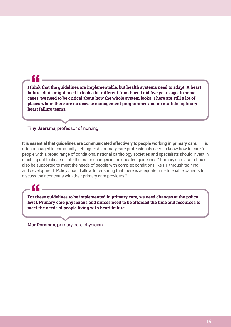**I think that the guidelines are implementable, but health systems need to adapt. A heart failure clinic might need to look a bit different from how it did five years ago. In some cases, we need to be critical about how the whole system looks. There are still a lot of places where there are no disease management programmes and no multidisciplinary heart failure teams.**

#### **Tiny Jaarsma**, professor of nursing

CC

**It is essential that guidelines are communicated effectively to people working in primary care.** HF is often managed in community settings.<sup>69</sup> As primary care professionals need to know how to care for people with a broad range of conditions, national cardiology societies and specialists should invest in reaching out to disseminate the major changes in the updated guidelines.<sup>9</sup> Primary care staff should also be supported to meet the needs of people with complex conditions like HF through training and development. Policy should allow for ensuring that there is adequate time to enable patients to discuss their concerns with their primary care providers.<sup>9</sup>

**For these guidelines to be implemented in primary care, we need changes at the policy level. Primary care physicians and nurses need to be afforded the time and resources to meet the needs of people living with heart failure.**

**Mar Domingo**, primary care physician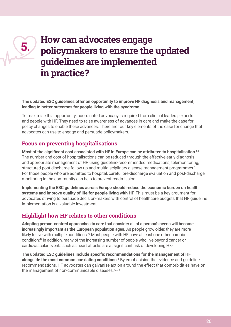## **How can advocates engage policymakers to ensure the updated guidelines are implemented in practice?**

**The updated ESC guidelines offer an opportunity to improve HF diagnosis and management, leading to better outcomes for people living with the syndrome.**

To maximise this opportunity, coordinated advocacy is required from clinical leaders, experts and people with HF. They need to raise awareness of advances in care and make the case for policy changes to enable these advances. There are four key elements of the case for change that advocates can use to engage and persuade policymakers.

### **Focus on preventing hospitalisations**

<span id="page-19-0"></span>**5.**

**Most of the significant cost associated with HF in Europe can be attributed to hospitalisation.**<sup>54</sup> The number and cost of hospitalisations can be reduced through the effective early diagnosis and appropriate management of HF, using guideline-recommended medications, telemonitoring, structured post-discharge follow-up and multidisciplinary disease management programmes.<sup>1</sup> For those people who are admitted to hospital, careful pre-discharge evaluation and post-discharge monitoring in the community can help to prevent readmission.

**Implementing the ESC guidelines across Europe should reduce the economic burden on health**  systems and improve quality of life for people living with HF. This must be a key argument for advocates striving to persuade decision-makers with control of healthcare budgets that HF guideline implementation is a valuable investment.

## **Highlight how HF relates to other conditions**

**Adopting person-centred approaches to care that consider all of a person's needs will become increasingly important as the European population ages.** As people grow older, they are more likely to live with multiple conditions.<sup>70</sup> Most people with HF have at least one other chronic condition;42 in addition, many of the increasing number of people who live beyond cancer or cardiovascular events such as heart attacks are at significant risk of developing HF.<sup>71</sup>

**The updated ESC guidelines include specific recommendations for the management of HF**  alongside the most common coexisting conditions.<sup>1</sup> By emphasising the evidence and guideline recommendations, HF advocates can galvanise action around the effect that comorbidities have on the management of non-communicable diseases.<sup>72-74</sup>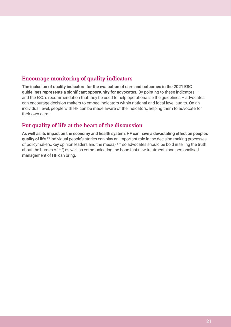## <span id="page-20-0"></span>**Encourage monitoring of quality indicators**

**The inclusion of quality indicators for the evaluation of care and outcomes in the 2021 ESC guidelines represents a significant opportunity for advocates.** By pointing to these indicators – and the ESC's recommendation that they be used to help operationalise the guidelines – advocates can encourage decision-makers to embed indicators within national and local-level audits. On an individual level, people with HF can be made aware of the indicators, helping them to advocate for their own care.

## **Put quality of life at the heart of the discussion**

**As well as its impact on the economy and health system, HF can have a devastating effect on people's quality of life.**75 Individual people's stories can play an important role in the decision-making processes of policymakers, key opinion leaders and the media,<sup>7677</sup> so advocates should be bold in telling the truth about the burden of HF, as well as communicating the hope that new treatments and personalised management of HF can bring.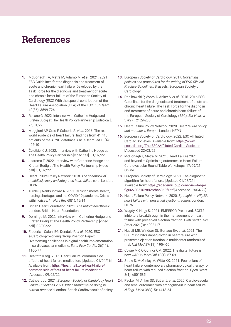## <span id="page-21-0"></span>**References**

- **1.** McDonagh TA, Metra M, Adamo M, *et al*. 2021. 2021 ESC Guidelines for the diagnosis and treatment of acute and chronic heart failure: Developed by the Task Force for the diagnosis and treatment of acute and chronic heart failure of the European Society of Cardiology (ESC) With the special contribution of the Heart Failure Association (HFA) of the ESC. *Eur Heart J* 42(36): 3599-726
- **2.** Rosano G. 2022. Interview with Catherine Hodge and Kirsten Budig at The Health Policy Partnership [video call]. 26/01/22
- **3.** Maggioni AP, Orso F, Calabria S, *et al*. 2016. The realworld evidence of heart failure: findings from 41 413 patients of the ARNO database. *Eur J Heart Fail* 18(4): 402-10
- **4.** Čelutkienė J. 2022. Interview with Catherine Hodge at The Health Policy Partnership [video call]. 01/02/22
- **5.** Jaarsma T. 2022. Interview with Catherine Hodge and Kirsten Budig at The Health Policy Partnership [video call]. 01/02/22
- **6.** Heart Failure Policy Network. 2018. *The handbook of multidisciplinary and integrated heart failure care*. London: **HFPN**
- **7.** Turale S, Nantsupawat A. 2021. Clinician mental health, nursing shortages and the COVID-19 pandemic: Crises within crises. *Int Nurs Rev* 68(1): 12-14
- **8.** British Heart Foundation. 2021. *The untold heartbreak*. London: British Heart Foundation
- **9.** Domingo M. 2022. Interview with Catherine Hodge and Kirsten Budig at The Health Policy Partnership [video call]. 02/03/22
- **10.** Frederix I, Caiani EG, Dendale P, *et al*. 2020. ESC e-Cardiology Working Group Position Paper: Overcoming challenges in digital health implementation in cardiovascular medicine. *Eur J Prev Cardiol* 26(11): 1166-77
- **11.** Healthtalk.org. 2016. Heart Failure: common side effects of heart failure medication. [Updated 01/04/16]. Available from: [https://healthtalk.org/heart-failure/](https://healthtalk.org/heart-failure/common-side-effects-of-heart-failure-medication) [common-side-effects-of-heart-failure-medication](https://healthtalk.org/heart-failure/common-side-effects-of-heart-failure-medication) [Accessed 09/02/22]
- **12.** Cuthbert JJ. 2021. *European Society of Cardiology Heart Failure Guidelines 2021: What should we be doing in current practice?* London: British Cardiovascular Society
- **13.** European Society of Cardiology. 2017. *Governing policies and procedures for the writing of ESC Clinical Practice Guidelines*. Brussels: European Society of Cardiology
- **14.** Ponikowski P, Voors A, Anker S, *et al*. 2016. 2016 ESC Guidelines for the diagnosis and treatment of acute and chronic heart failure: The Task Force for the diagnosis and treatment of acute and chronic heart failure of the European Society of Cardiology (ESC). *Eur Heart J*  37(27): 2129-200
- **15.** Heart Failure Policy Network. 2020. *Heart failure policy and practice in Europe*. London: HFPN
- **16.** European Society of Cardiology. 2022. ESC Affiliated Cardiac Societies. Available from: [https://www.](https://www.escardio.org/The-ESC/Affiliated-Cardiac-Societies) [escardio.org/The-ESC/Affiliated-Cardiac-Societies](https://www.escardio.org/The-ESC/Affiliated-Cardiac-Societies) [Accessed 22/03/22]
- **17.** McDonagh T, Metra M. 2021. Heart Failure 2021 and beyond – Optimising outcomes in Heart Failure. Cardiovascular Round Table Workshops; 17/09/21; **Online**
- **18.** European Society of Cardiology. 2021. The diagnostic algorithm for heart failure. [Updated 01/08/21]. Available from: [https://academic.oup.com/view-large/](https://academic.oup.com/view-large/figure/305162882/ehab368f1.tif) [figure/305162882/ehab368f1.tif](https://academic.oup.com/view-large/figure/305162882/ehab368f1.tif) [Accessed 19/04/22]
- **19.** Heart Failure Policy Network. 2020. *Spotlight on HFpEF: heart failure with preserved ejection fractio*n. London: **HFPN**
- **20.** Wagdy K, Nagy S. 2021. EMPEROR-Preserved: SGLT2 inhibitors breakthrough in the management of heart failure with preserved ejection fraction. *Glob Cardiol Sci Pract* 2021(3): e202117
- **21.** Nassif ME, Windsor SL, Borlaug BA, *et al*. 2021. The SGLT2 inhibitor dapagliflozin in heart failure with preserved ejection fraction: a multicenter randomized trial. *Nat Med* 27(11): 1954-60
- **22.** Cowie MR, O'Connor CM. 2022. The digital future is now. *JACC: Heart Fail* 10(1): 67-69
- **23.** Straw S, McGinlay M, Witte KK. 2021. Four pillars of heart failure: contemporary pharmacological therapy for heart failure with reduced ejection fraction. *Open Heart* 8(1): e001585
- **24.** Packer M, Anker SD, Butler J, *et al*. 2020. Cardiovascular and renal outcomes with empagliflozin in heart failure. *N Engl J Med* 383(15): 1413-24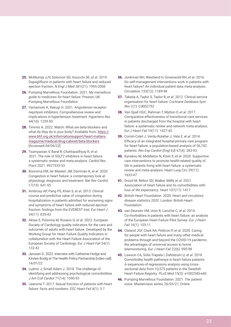- **25.** McMurray JJV, Solomon SD, Inzucchi SE, *et al*. 2019. Dapagliflozin in patients with heart failure and reduced ejection fraction. *N Engl J Med* 381(21): 1995-2008
- **26.** Pumping Marvellous Foundation. 2021. *My marvellous guide to medicines for heart failure*. Preston, UK: Pumping Marvellous Foundation
- **27.** Yamamoto K, Rakugi H. 2021. Angiotensin receptorneprilysin inhibitors: Comprehensive review and implications in hypertension treatment. *Hypertens Res* 44(10): 1239-50
- **28.** Timmis A. 2022. Watch: What are beta blockers and what do they do in your body? Available from: [https://](https://www.bhf.org.uk/informationsupport/heart-matters-magazine/medical/drug-cabinet/beta-blockers) [www.bhf.org.uk/informationsupport/heart-matters](https://www.bhf.org.uk/informationsupport/heart-matters-magazine/medical/drug-cabinet/beta-blockers)[magazine/medical/drug-cabinet/beta-blockers](https://www.bhf.org.uk/informationsupport/heart-matters-magazine/medical/drug-cabinet/beta-blockers) [Accessed 04/04/22]
- **29.** Tsampasian V, Baral R, Chattopadhyay R, *et al*. 2021. The role of SGLT2 inhibitors in heart failure: a systematic review and meta-analysis. *Cardiol Res Pract* 2021: 9927533-33
- **30.** Boorsma EM, ter Maaten JM, Damman K, *et al*. 2020. Congestion in heart failure: a contemporary look at physiology, diagnosis and treatment. *Nat Rev Cardiol*  17(10): 641-55
- **31.** Ambrosy AP, Pang PS, Khan S, *et al*. 2013. Clinical course and predictive value of congestion during hospitalization in patients admitted for worsening signs and symptoms of heart failure with reduced ejection fraction: findings from the EVEREST trial. *Eur Heart J*  34(11): 835-43
- **32.** Aktaa S, Polovina M, Rosano G, *et al*. 2022. European Society of Cardiology quality indicators for the care and outcomes of adults with heart failure. Developed by the Working Group for Heart Failure Quality Indicators in collaboration with the Heart Failure Association of the European Society of Cardiology. *Eur J Heart Fail* 24(1): 132-42
- **33.** Janssen D. 2022. Interview with Catherine Hodge and Kirsten Budig at The Health Policy Partnership [video call]. 14/01/22
- **34.** Ludmir J, Small Adam J. 2018. The challenge of identifying and addressing psychological comorbidities. *J Am Coll Cardiol* 71(14): 1590-93
- **35.** Jaarsma T. 2017. Sexual function of patients with heart failure: facts and numbers. *ESC Heart Fail* 4(1): 3-7
- **36.** Jonkman NH, Westland H, Groenwold RH, *et al*. 2016. Do self-management interventions work in patients with heart failure? An individual patient data meta-analysis. *Circulation* 133(12): 1189-98
- **37.** Takeda A, Taylor S, Taylor R, *et al*. 2012. Clinical service organisation for heart failure. *Cochrane Database Syst Rev* 1(1): Cd002752
- **38.** Van Spall HGC, Rahman T, Mytton O, *et al*. 2017. Comparative effectiveness of transitional care services in patients discharged from the hospital with heart failure: a systematic review and network meta-analysis. *Eur J Heart Fail* 19(11): 1427-43
- **39.** Comín-Colet J, Verdu-Rotellar J, Vela E, *et al*. 2014. Efficacy of an integrated hospital-primary care program for heart failure: a population-based analysis of 56,742 patients. *Rev Esp Cardiol (Engl Ed)* 67(4): 283-93
- **40.** Kyriakou M, Middleton N, Ktisti S, *et al*. 2020. Supportive care interventions to promote health-related quality of life in patients living with heart failure: a systematic review and meta-analysis. *Heart Lung Circ* 29(11): 1633-47
- **41.** Drozd M, Relton SD, Walker AMN, *et al*. 2021. Association of heart failure and its comorbidities with loss of life expectancy. *Heart* 107(17): 1417
- **42.** British Heart Foundation. 2020. *Heart and circulatory disease statistics 2020*. London: British Heart Foundation
- **43.** van Deursen VM, Urso R, Laroche C, *et al*. 2014. Co‑morbidities in patients with heart failure: an analysis of the European Heart Failure Pilot Survey. *Eur J Heart Fail* 16(1): 103-11
- **44.** Cleland JGF, Clark RA, Pellicori P, *et al*. 2020. Caring for people with heart failure and many other medical problems through and beyond the COVID-19 pandemic: the advantages of universal access to home telemonitoring. *Eur J Heart Fail* 22(6): 995-98
- **45.** Lawson CA, Solis-Trapala I, Dahlstrom U, *et al*. 2018. Comorbidity health pathways in heart failure patients: A sequences-of-regressions analysis using crosssectional data from 10,575 patients in the Swedish Heart Failure Registry. *PLoS Med* 15(3): e1002540-e40
- **46.** Pumping Marvellous Foundation. 2021. The patient voice. Masterclass series; 26/03/21; Online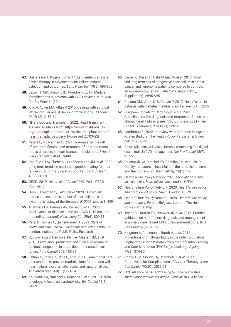- **47.** Gustafsson F, Rogers JG. 2017. Left ventricular assist device therapy in advanced heart failure: patient selection and outcomes. *Eur J Heart Fail* 19(5): 595-602
- **48.** Jezovnik MK, Gregoric ID, Poredos P. 2017. Medical complications in patients with LVAD devices. *e-Journal Cardiol Pract* 14(37)
- **49.** Kilic A, Acker MA, Atluri P. 2015. Dealing with surgical left ventricular assist device complications. *J Thorac Dis* 7(12): 2158-64
- **50.** NHS Blood and Transplant. 2022. Heart transplant surgery. Available from: [https://www.nhsbt.nhs.uk/](https://www.nhsbt.nhs.uk/organ-transplantation/heart/at-the-transplant-centre/heart-transplant-surgery/) [organ-transplantation/heart/at-the-transplant-centre/](https://www.nhsbt.nhs.uk/organ-transplantation/heart/at-the-transplant-centre/heart-transplant-surgery/) [heart-transplant-surgery/](https://www.nhsbt.nhs.uk/organ-transplantation/heart/at-the-transplant-centre/heart-transplant-surgery/) [Accessed 22/03/22]
- **51.** Peters L, McIlvennan C. 2021. Trauma after the gift of life: Identification and treatment of post-traumatic stress disorders in heart transplant recipients. *J Heart Lung Transplant* 40(4): S488
- **52.** Roalfe AK, Lay-Flurrie SL, Ordóñez-Mena JM, *et al*. 2022. Long term trends in natriuretic peptide testing for heart failure in UK primary care: a cohort study. *Eur Heart J* 43(9): 881-91
- **53.** OECD. 2019. *Health at a Glance 2019*. Paris: OECD Publishing
- **54.** Giles L, Freeman C, Field P, *et al*. 2020. Humanistic burden and economic impact of heart failure - a systematic review of the literature. *F1000Research* 8: 859
- **55.** Allahwala UK, Denniss AR, Zaman S, *et al*. 2020. Cardiovascular disease in the post-COVID-19 era - the impending tsunami? *Heart Lung Circ* 29(6): 809-11
- **56.** Patel P, Thomas C, Quilter-Pinner H. 2021. *State of health and care - the NHS long term plan after COVID-19*. London: Institute for Public Policy Research
- **57.** Rubio-Gracia J, Demissei BG, Ter Maaten JM, *et al*. 2018. Prevalence, predictors and clinical outcome of residual congestion in acute decompensated heart failure. *Int J Cardiol* 258: 185-91
- **58.** Feltner C, Jones C, Cene C, *et al*. 2014. Transitional care interventions to prevent readmissions for persons with heart failure: a systematic review and meta-analysis. *Ann Intern Med* 160(11): 774-84
- **59.** Koutsoukis A, Ntalianis A, Repasos E, *et al*. 2018. Cardiooncology: A focus on cardiotoxicity. *Eur Cardiol* 13(1): 64-69
- **60.** Larsen C, Dasari H, Calle Maria CA, *et al*. 2018. Short and long term risk of congestive heart failure in breast cancer and lymphoma patients compared to controls: an epidemiologic study. *J Am Coll Cardiol* 71(11\_ Supplement): A695-A95
- **61.** Rosano GM, Vitale C, Seferovic P. 2017. Heart failure in patients with diabetes mellitus. *Card Fail Rev* 3(1): 52-55
- **62.** European Society of Cardiology. 2021. 2021 ESC Guidelines for the diagnosis and treatment of acute and chronic heart failure - panel. ESC Congress 2021 - The Digital Experience; 27/08/21; Online
- **63.** Lambrinou E. 2022. Interview with Catherine Hodge and Kirsten Budig at The Health Policy Partnership [video call]. 21/02/22
- **64.** Cowie MR, Lam CSP. 2021. Remote monitoring and digital health tools in CVD management. *Nat Rev Cardiol* 18(7): 457-58
- **65.** Polanczyk CA, Ruschel KB, Castilho FM, *et al*. 2019. Quality measures in heart failure: the past, the present, and the future. *Curr Heart Fail Rep* 16(1): 1-6
- **66.** Heart Failure Policy Network. 2020. *Spotlight on quality assessment in heart failure care*. London: HFPN
- **67.** Heart Failure Policy Network. 2020. *Heart failure policy and practice in Europe: Spain*. London: HFPN
- **68.** Heart Failure Policy Network. 2020. *Heart failure policy and practice in Europe: Belgium*. London: The Health Policy Partnership
- **69.** Taylor CJ, Rutten FH, Brouwer JR, *et al*. 2017. Practical guidance on heart failure diagnosis and management in primary care: recent EPCCS recommendations. *Br J Gen Pract* 67(660): 326
- **70.** Kingston A, Robinson L, Booth H, *et al*. 2018. Projections of multi-morbidity in the older population in England to 2035: estimates from the Population Ageing and Care Simulation (PACSim) model. *Age Ageing* 47(3): 374-80
- **71.** Chang H-M, Moudgil R, Scarabelli T, *et al*. 2017. Cardiovascular Complications of Cancer Therapy. *J Am Coll Cardiol* 70(20): 2536-51
- **72.** NCD Alliance. 2016. *Addressing NCD co-morbidities: shared opportunities for action*. Geneva: NCD Alliance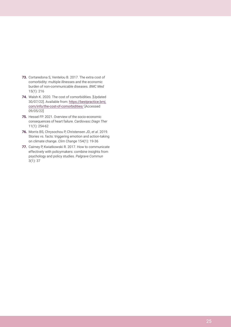- **73.** Cortaredona S, Ventelou B. 2017. The extra cost of comorbidity: multiple illnesses and the economic burden of non-communicable diseases. *BMC Med* 15(1): 216
- **74.** Walsh K. 2020. The cost of comorbidities. [Updated 30/07/22]. Available from: [https://bestpractice.bmj.](https://bestpractice.bmj.com/info/the-cost-of-comorbidities/) [com/info/the-cost-of-comorbidities/](https://bestpractice.bmj.com/info/the-cost-of-comorbidities/) [Accessed 09/05/22]
- **75.** Hessel FP. 2021. Overview of the socio-economic consequences of heart failure. *Cardiovasc Diagn Ther* 11(1): 254-62
- **76.** Morris BS, Chrysochou P, Christensen JD, *et al*. 2019. Stories vs. facts: triggering emotion and action-taking on climate change. *Clim Change* 154(1): 19-36
- **77.** Cairney P, Kwiatkowski R. 2017. How to communicate effectively with policymakers: combine insights from psychology and policy studies. *Palgrave Commun* 3(1): 37